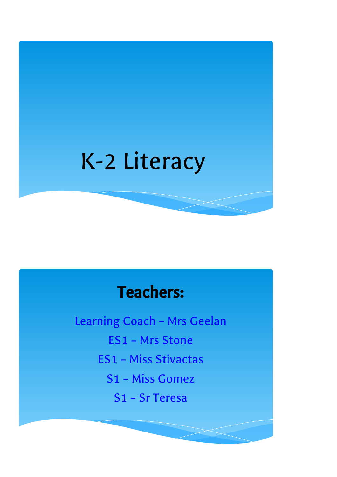# K-2 Literacy

# Teachers:

Learning Coach – Mrs Geelan ES1 – Mrs Stone ES1 – Miss Stivactas S1 – Miss Gomez S1 – Sr Teresa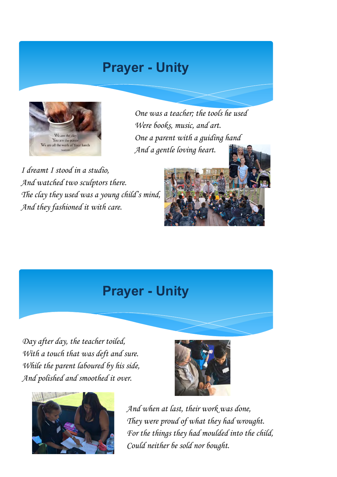### Prayer - Unity



One was a teacher; the tools he used Were books, music, and art. One a parent with a guiding hand And a gentle loving heart.

I dreamt I stood in a studio, And watched two sculptors there. The clay they used was a young child's mind, And they fashioned it with care.



#### Prayer - Unity

Day after day, the teacher toiled, With a touch that was deft and sure. While the parent laboured by his side, And polished and smoothed it over.





And when at last, their work was done, They were proud of what they had wrought. For the things they had moulded into the child, Could neither be sold nor bought.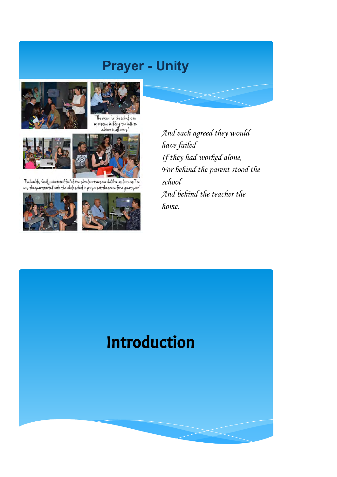### Prayer - Unity





The vision for the school is so<br>impressive, building the kids to<br>achieve in all areas."





The humble, family orientated feel of the school nurtures our children as learners. The<br>way the year started with the whole school in prayer set the scene for a great year."



And each agreed they would have failed If they had worked alone, For behind the parent stood the school And behind the teacher the home.

# Introduction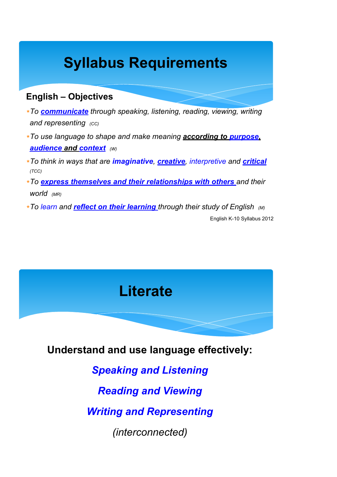# Syllabus Requirements

#### English – Objectives

- ∗To communicate through speaking, listening, reading, viewing, writing and representing  $(CC)$
- ∗To use language to shape and make meaning according to purpose, audience and context (W)
- ∗To think in ways that are *imaginative, creative, interpretive and critical* (TCC)
- ∗To express themselves and their relationships with others and their world (MR)
- **\*To learn and reflect on their learning** through their study of English (M) English K-10 Syllabus 2012

### **Literate**

Understand and use language effectively:

Speaking and Listening

Reading and Viewing

Writing and Representing

(interconnected)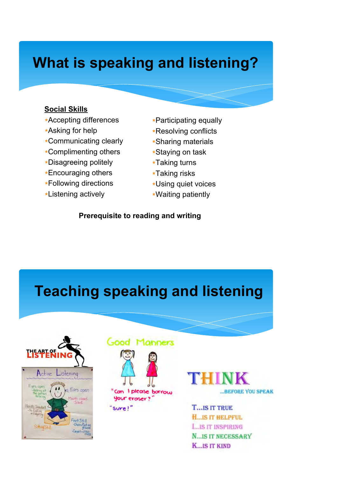# What is speaking and listening?

#### Social Skills

- ∗Accepting differences
- ∗Asking for help
- ∗Communicating clearly
- ∗Complimenting others
- ∗Disagreeing politely
- ∗Encouraging others
- ∗Following directions
- ∗Listening actively
- ∗Participating equally
- ∗Resolving conflicts
- ∗Sharing materials
- ∗Staying on task
- ∗Taking turns
- ∗Taking risks
- ∗Using quiet voices
- ∗Waiting patiently

Prerequisite to reading and writing

# Teaching speaking and listening







sure!"



**T...IS IT TRUE H. IS IT HELPFUL L.IS IT INSPIRING N.IS IT NECESSARY K...IS IT KIND**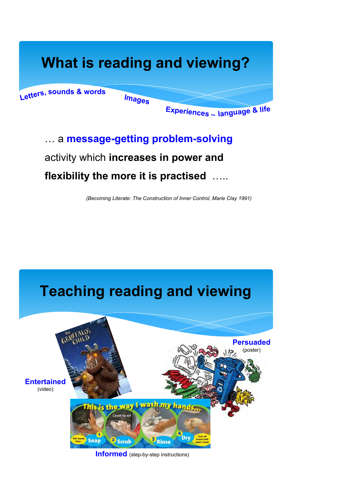# What is reading and viewing?

Letters, sounds & words

Images

Experiences – language & life

### … a message-getting problem-solving activity which increases in power and flexibility the more it is practised .....

(Becoming Literate: The Construction of Inner Control, Marie Clay 1991)

### Teaching reading and viewing Persuaded (poster)**Entertained** (video) This is the way I wash int to an Dry **Soap** <sup>3</sup> Scrub Rinse

Informed (step-by-step instructions)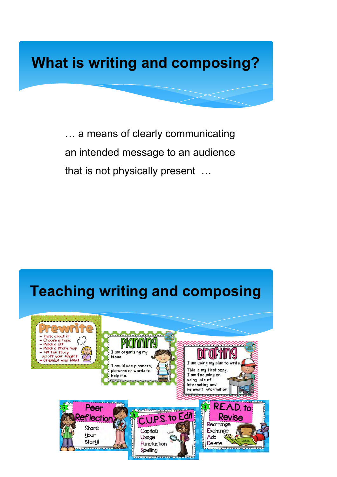# What is writing and composing?

… a means of clearly communicating an intended message to an audience that is not physically present …

### Teaching writing and composing

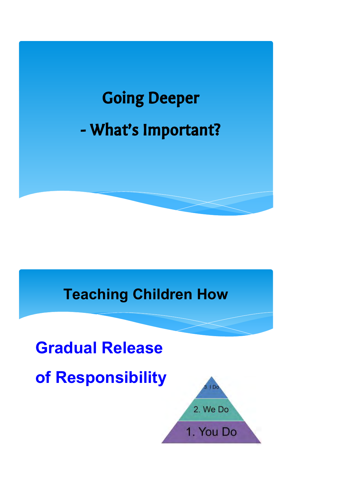

# Teaching Children How

# Gradual Release

of Responsibility

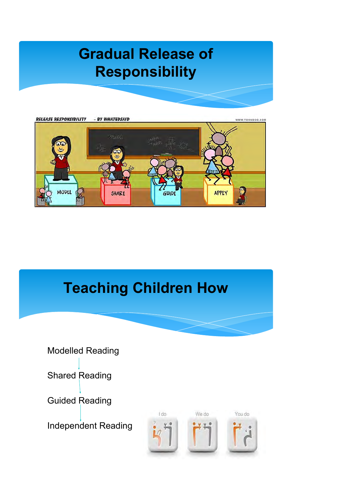# Gradual Release of Responsibility



# Teaching Children How



Shared Reading

Guided Reading

Independent Reading

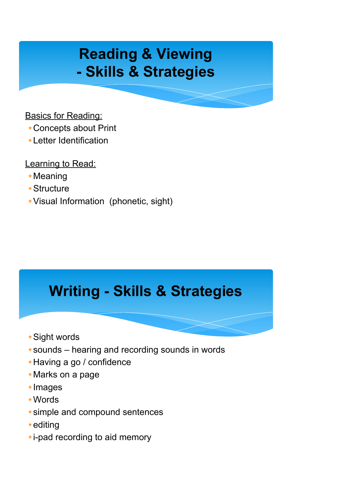# Reading & Viewing - Skills & Strategies

Basics for Reading:

- ∗Concepts about Print
- ∗Letter Identification

Learning to Read:

- ∗Meaning
- ∗Structure
- ∗Visual Information (phonetic, sight)

# Writing - Skills & Strategies

- ∗Sight words
- ∗sounds hearing and recording sounds in words
- ∗Having a go / confidence
- ∗Marks on a page
- ∗Images
- ∗Words
- ∗simple and compound sentences
- ∗editing
- ∗i-pad recording to aid memory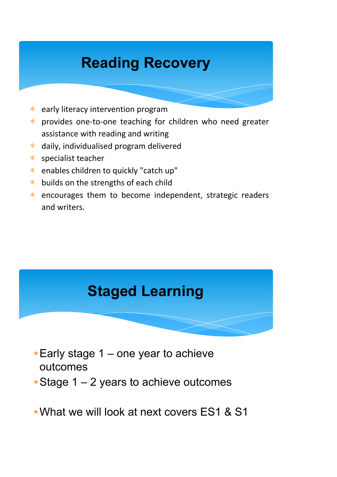# Reading Recovery

- ∗ early literacy intervention program
- ∗ provides one-to-one teaching for children who need greater assistance with reading and writing
- ∗ daily, individualised program delivered
- ∗ specialist teacher
- ∗ enables children to quickly "catch up"
- ∗ builds on the strengths of each child
- ∗ encourages them to become independent, strategic readers and writers.

### Staged Learning

- ∗Early stage 1 one year to achieve outcomes
- ∗Stage 1 2 years to achieve outcomes

∗What we will look at next covers ES1 & S1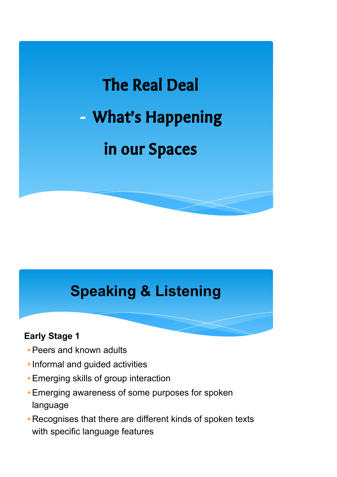

# Speaking & Listening

#### Early Stage 1

- ∗Peers and known adults
- ∗Informal and guided activities
- ∗Emerging skills of group interaction
- ∗Emerging awareness of some purposes for spoken language
- ∗Recognises that there are different kinds of spoken texts with specific language features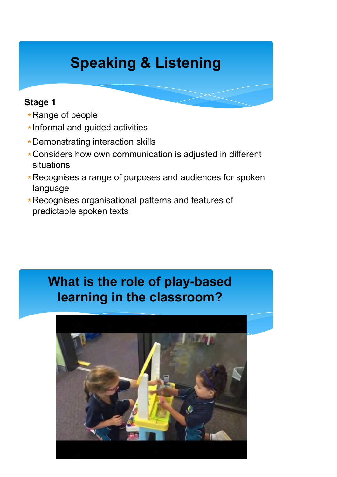# Speaking & Listening

#### Stage 1

- ∗Range of people
- ∗Informal and guided activities
- ∗Demonstrating interaction skills
- ∗Considers how own communication is adjusted in different situations
- ∗Recognises a range of purposes and audiences for spoken language
- ∗Recognises organisational patterns and features of predictable spoken texts

#### י<br>י What is the role of play-based learning in the classroom?

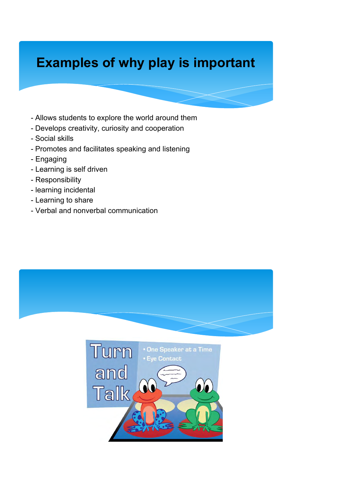### Examples of why play is important

- Allows students to explore the world around them
- Develops creativity, curiosity and cooperation
- Social skills
- Promotes and facilitates speaking and listening
- Engaging
- Learning is self driven
- Responsibility
- learning incidental
- Learning to share
- Verbal and nonverbal communication

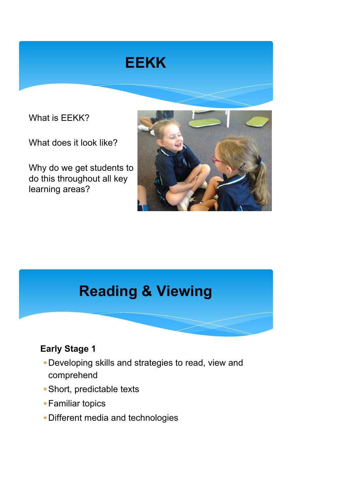# **EEKK**

What is EEKK?

What does it look like?

Why do we get students to do this throughout all key learning areas?



# Reading & Viewing

#### Early Stage 1

- ∗Developing skills and strategies to read, view and comprehend
- ∗Short, predictable texts
- ∗Familiar topics
- ∗Different media and technologies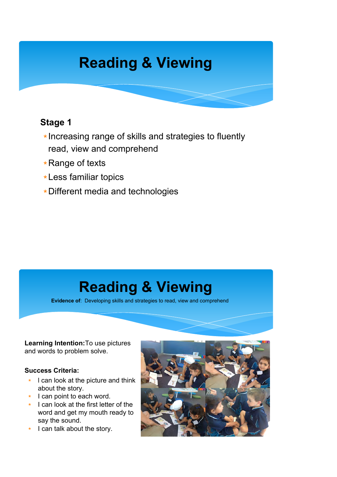# Reading & Viewing

#### Stage 1

- ∗Increasing range of skills and strategies to fluently read, view and comprehend
- ∗Range of texts
- ∗Less familiar topics
- ∗Different media and technologies

# Reading & Viewing

Evidence of: Developing skills and strategies to read, view and comprehend

Learning Intention:To use pictures and words to problem solve.

#### Success Criteria:

- ∗ l can look at the picture and think about the story.
- ∗ I can point to each word.
- ∗ I can look at the first letter of the word and get my mouth ready to say the sound.
- ∗ I can talk about the story.

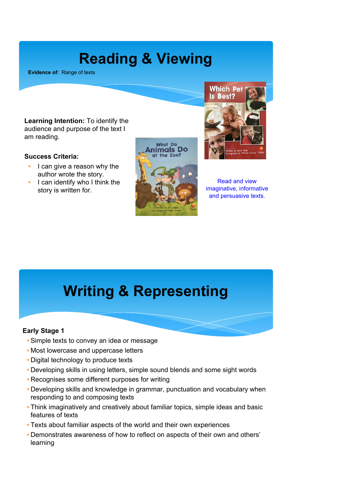# Reading & Viewing

Evidence of: Range of texts

**Which Pet Is Best?** 

Learning Intention: To identify the audience and purpose of the text I am reading.

#### Success Criteria:

- ∗ I can give a reason why the author wrote the story.
- ∗ I can identify who I think the story is written for.





Read and view imaginative, informative and persuasive texts.

### Writing & Representing

#### Early Stage 1

- ∗Simple texts to convey an idea or message
- ∗ Most lowercase and uppercase letters
- ∗Digital technology to produce texts
- ∗Developing skills in using letters, simple sound blends and some sight words
- ∗Recognises some different purposes for writing
- ∗Developing skills and knowledge in grammar, punctuation and vocabulary when responding to and composing texts
- ∗Think imaginatively and creatively about familiar topics, simple ideas and basic features of texts
- ∗Texts about familiar aspects of the world and their own experiences
- ∗Demonstrates awareness of how to reflect on aspects of their own and others' learning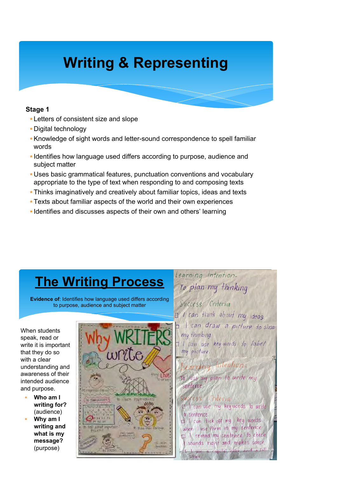# Writing & Representing

#### Stage 1

- ∗ Letters of consistent size and slope
- ∗Digital technology
- ∗Knowledge of sight words and letter-sound correspondence to spell familiar words
- ∗ Identifies how language used differs according to purpose, audience and subject matter
- ∗Uses basic grammatical features, punctuation conventions and vocabulary appropriate to the type of text when responding to and composing texts
- ∗Thinks imaginatively and creatively about familiar topics, ideas and texts
- ∗Texts about familiar aspects of the world and their own experiences
- ∗ Identifies and discusses aspects of their own and others' learning

### The Writing Process

Evidence of: Identifies how language used differs according to purpose, audience and subject matter

When students speak, read or write it is important that they do so with a clear understanding and awareness of their intended audience and purpose.

- Who am I writing for? (audience)
- Why am I writing and what is my message? (purpose)



To plan my thinking Success Criteria I I can think about my ideas. I can draw a picture to show my thinking  $I$  I can use key words to label mu picture. Learning Intention To use my plan to write my sentence Success Criteria  $\mathbb{Z}^{\mathbb{Z}}$ I can use my keywords to write a sentence. I I can tick off my key words when luse them in my sentence. I I reread my sentence to check I sounds right and makes sense capital letter and

Learning Intention-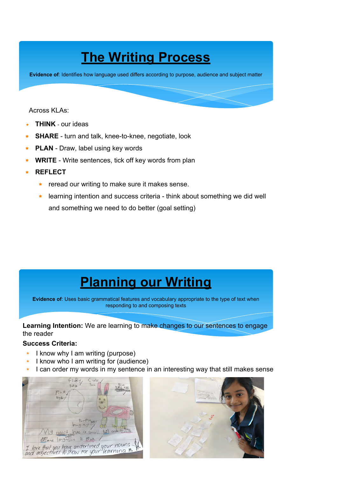### **The Writing Process**

Evidence of: Identifies how language used differs according to purpose, audience and subject matter

#### Across KLAs:

- THINK our ideas
- ∗ SHARE turn and talk, knee-to-knee, negotiate, look
- ∗ PLAN Draw, label using key words
- **WRITE** Write sentences, tick off key words from plan
- ∗ REFLECT
	- ∗ reread our writing to make sure it makes sense.
	- ∗ learning intention and success criteria think about something we did well and something we need to do better (goal setting)

### Planning our Writing

Evidence of: Uses basic grammatical features and vocabulary appropriate to the type of text when responding to and composing texts

Learning Intention: We are learning to make changes to our sentences to engage the reader

#### Success Criteria:

- ∗ I know why I am writing (purpose)
- ∗ I know who I am writing for (audience)
- I can order my words in my sentence in an interesting way that still makes sense



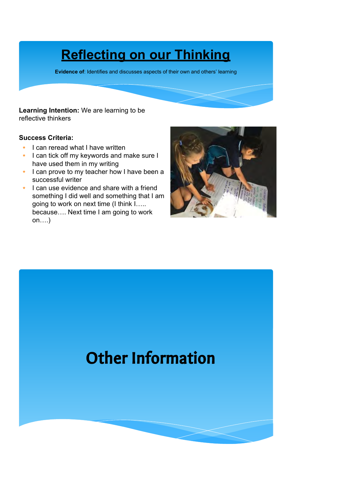### Reflecting on our Thinking

Evidence of: Identifies and discusses aspects of their own and others' learning

#### Learning Intention: We are learning to be reflective thinkers

#### Success Criteria:

- ∗ I can reread what I have written
- ∗ I can tick off my keywords and make sure I have used them in my writing
- ∗ I can prove to my teacher how I have been a successful writer
- ∗ I can use evidence and share with a friend something I did well and something that I am going to work on next time (I think I….. because…. Next time I am going to work on….)



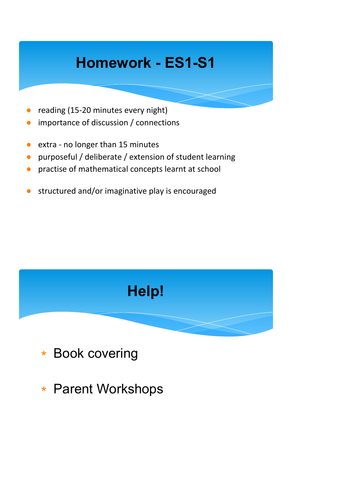# Homework - ES1-S1

- reading (15-20 minutes every night)
- importance of discussion / connections
- extra no longer than 15 minutes
- purposeful / deliberate / extension of student learning
- practise of mathematical concepts learnt at school
- structured and/or imaginative play is encouraged



- ∗ Book covering
- ∗ Parent Workshops